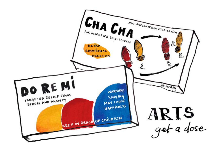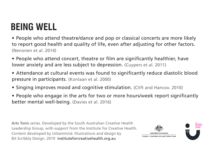## **BEING WELL**

- People who attend theatre/dance and pop or classical concerts are more likely to report good health and quality of life, even after adjusting for other factors. (Nenonen et al. 2014)
- People who attend concert, theatre or film are significantly healthier, have lower anxiety and are less subject to depression. (Cuypers et al. 2011)
- Attendance at cultural events was found to significantly reduce diastolic blood pressure in participants. (Konlaan et al. 2000)
- Singing improves mood and cognitive stimulation. (Clift and Hancox. 2010)
- People who engage in the arts for two or more hours/week report significantly better mental well-being. (Davies et al. 2016)

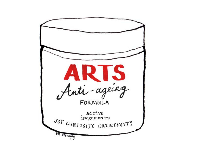ARTS<br>Anti-ageing ACTIVE **INGREDIENTS** JOY CURIOSITY GREATIVITY bif scribbly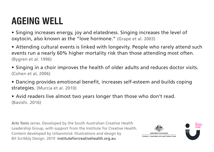## **AGEING WELL**

• Singing increases energy, joy and elatedness. Singing increases the level of oxytocin, also known as the "love hormone." (Grape et al. 2003)

- Attending cultural events is linked with longevity. People who rarely attend such events run a nearly 60% higher mortality risk than those attending most often. (Bygren et al. 1996)
- Singing in a choir improves the health of older adults and reduces doctor visits. (Cohen et al, 2006)
- Dancing provides emotional benefit, increases self-esteem and builds coping strategies. (Murcia et al. 2010)
- Avid readers live almost two years longer than those who don't read. (Bavishi. 2016)

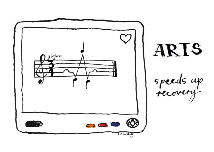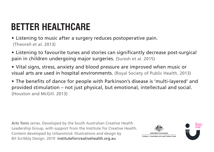# **BETTER HEALTHCARE**

• Listening to music after a surgery reduces postoperative pain. (Theorell et al. 2013)

• Listening to favourite tunes and stories can significantly decrease post-surgical pain in children undergoing major surgeries. (Suresh et al. 2015)

• Vital signs, stress, anxiety and blood pressure are improved when music or visual arts are used in hospital environments. (Royal Society of Public Health. 2013)

• The benefits of dance for people with Parkinson's disease is 'multi-layered' and provided stimulation – not just physical, but emotional, intellectual and social. (Houston and McGill. 2013)

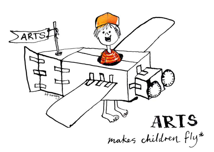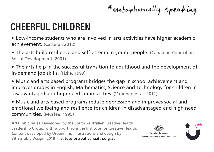\* metaphorically speaking

#### **CHEERFUL CHILDREN**

• Low-income students who are involved in arts activities have higher academic achievement. (Catteral. 2012)

• The arts build resilience and self-esteem in young people. (Canadian Council on Social Development. 2001)

• The arts help in the successful transition to adulthood and the development of in-demand job skills. (Fiske. 1999)

• Music and arts based programs bridges the gap in school achievement and improves grades in English, Mathematics, Science and Technology for children in disadvantaged and high need communities. (Vaughan et al. 2011)

• Music and arts based programs reduce depression and improves social and emotional wellbeing and resilience for children in disadvantaged and high need communities. (Murfee. 1995)

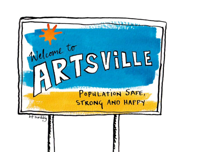